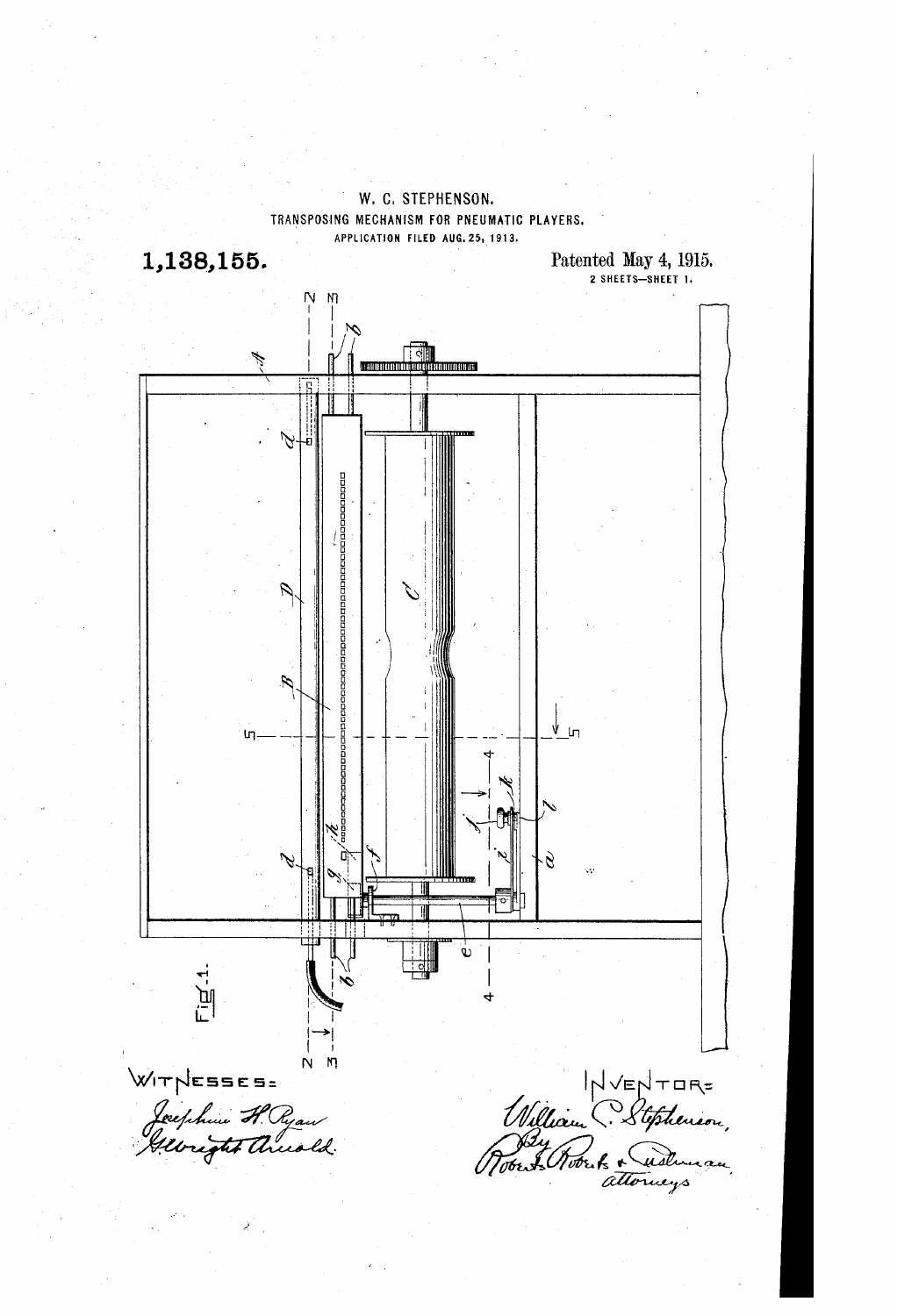

W. C. STEPHENSON.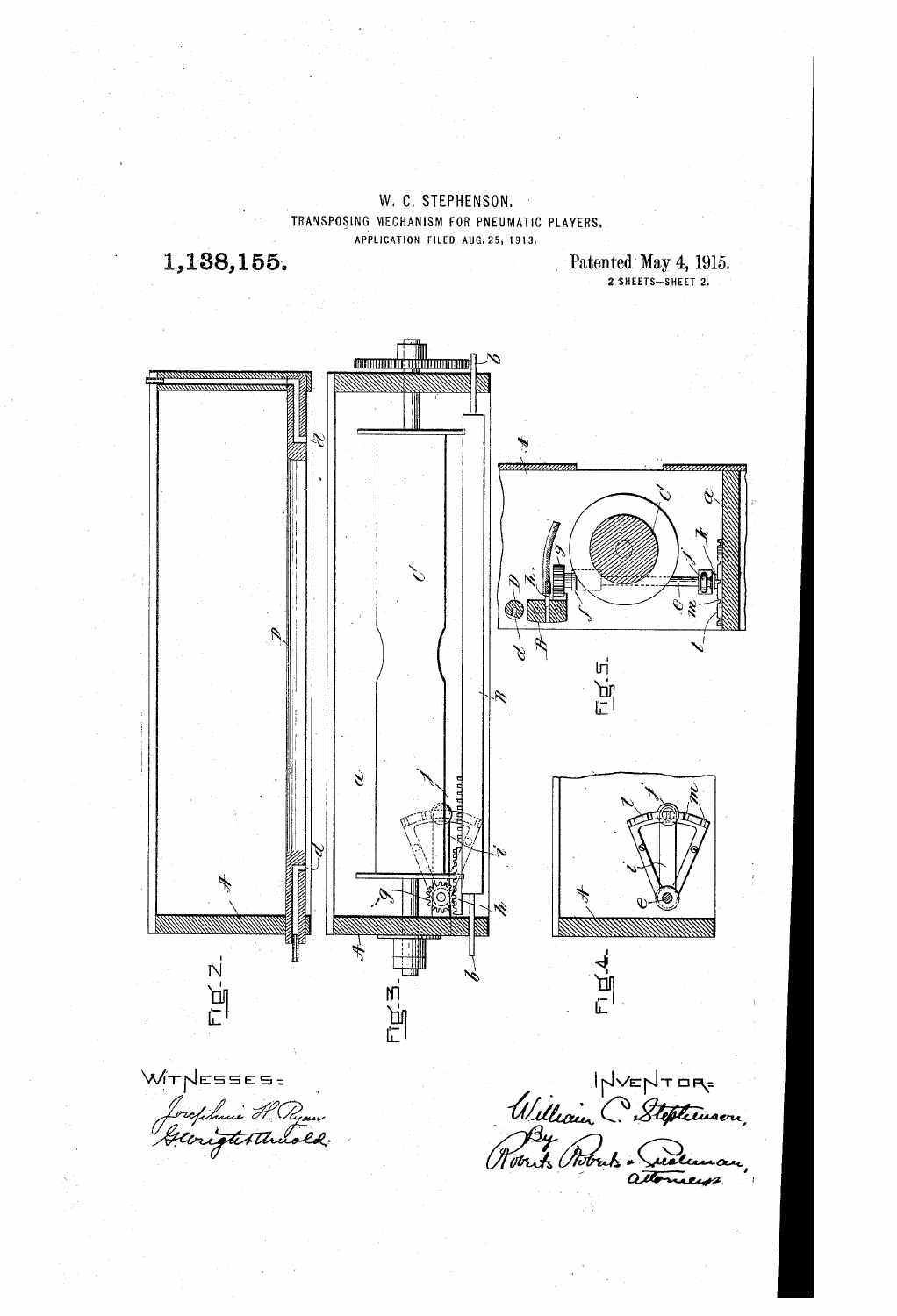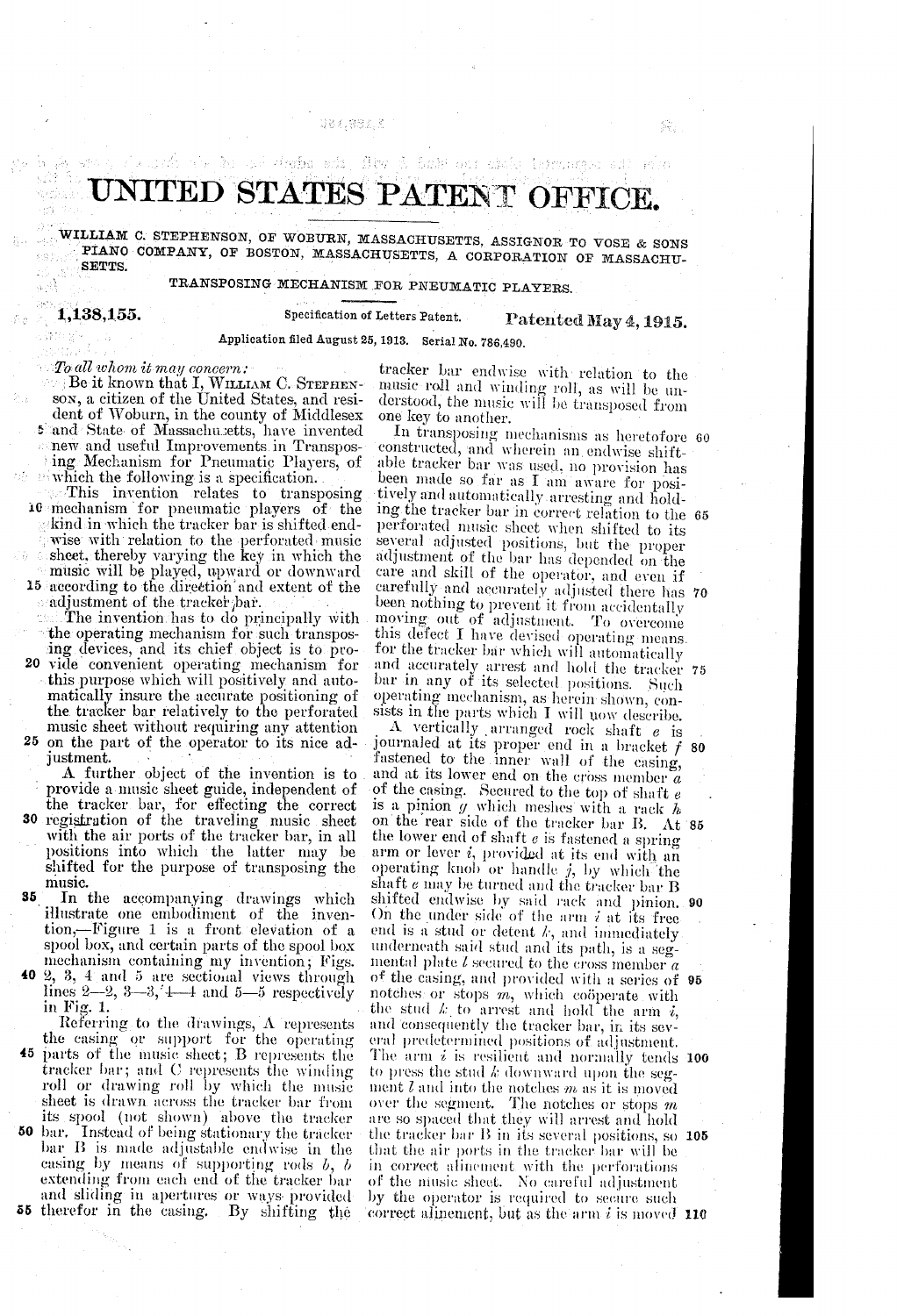# Q83.882.K

# UNITED STATES PATENT OFFICE.<br>WILLIAM C. STEPHENSON, OF WOBURN, MASSACHUSETTS, ASSIGNOR TO VOSE & SONS

and deeps six. Hey in bakk our shake interpretation of pole

PIANO COMPANY, OF BOSTON, MASSACHUSETTS, A CORPORATION OF MASSACHU-SETTS,

TRANSPOSING MECHANISM FOR PNEUMATIC PLAYERS.

1,138,155.

Specification of Letters Patent. Patented May 4, 1915.<br>Application filed August 25, 1913. Serial No. 786,490.

## To all whom it may concern:

s and State of Massachusetts, have invented ... new and useful Improvements in Transpos ing Mechanism for Pneumatic Players, of Be it known that I, WILLIAM C. STEPHENson, a citizen of the United States, and resident of Woburn, in the county of Middlesex

which the following is a specification.<br>This invention relates to transposing 10 mechanism for pneumatic players of the kind in which the tracker bar is shifted endwise with relation to the perforated music<br>sheet, thereby varying the key in which the 15 according to the direction and extent of the<br>adjustment of the tracker bar. music will be played, upward or downward

The invention has to do principally with the operating mechanism for such transpos

20 25 on the part of the operator to its nice ad-<br>justment. ing devices, and its chief object is to provide convenient operating mechanism for this purpose which will positively and automatically insure the accurate positioning of the tracker bar relatively to the perforated music sheet without requiring any attention

A further object of the invention is to provide a music sheet guide, independent of the tracker bar, for effecting the correct 30 the tracker bar, for effecting the correct registration of the traveling music sheet with the air ports of the tracker bar, in all positions into which the latter may be shifted for the purpose of transposing the music.

35. In the accompanying drawings which illustrate one embodiment of the inven tion,—Figure 1 is a front elevation of a<br>spool box, and certain parts of the spool box

40

45 parts of the music sheet; B represents the tracker bar; and C represents the winding 50 its spool (not shown) above the tracker bar. Instead of being stationary the tracker 55 therefor in the casing. By shifting the spoot box, and certain parts of the spoot box<br>mechanism containing my invention; Figs.<br>2, 3, 4 and 5 are sectional views through<br>lines  $2-2$ ,  $3-3$ ,  $4-4$  and  $5-5$  respectively<br>in Fig. 1.<br>Referring to the drawings, A rep sheet is drawn across the tracker bar from<br>its spool (not shown) above the tracker bar  $\overline{B}$  is made adjustable endwise in the casing by means of supporting rods  $b, b$  extending from each end of the tracker bar and sliding in apertures or ways provided

tracker bar endwise with relation to the music roll and winding roll, as will be understood, the music will be transposed from one key to another.

In transposing mechanisms as heretofore 60 constructed, and wherein an endwise shift-<br>able tracker bar was used, no provision has<br>been made so far as I am aware for posi-<br>tively and automatically arresting and hold-<br>ing the tracker bar in correct relation to the 6 carefully and accurately adjusted there has 70 and accurately arrest and hold the tracker 75

A vertically arranged rock shaft *e* is<br>journaled at its proper end in a bracket *f*<br>fastened to the inner wall of the casing,<br>and at its lower end on the cross member *a*<br>of the casing. Secured to the top of shaft *e*<br>is On the rear side of the tracker bar IB. At 85 the lower end of shaft *e* is fastened a spring arm or lever *i*, provided at its end with an operating knob or handle *j*, by which the shaft *e* may be turned and the tracker bar B shaft  $e$  may be turned and the tracker bar B shifted endwise by said rack and pinion. On the under side of the arm  $i$  at its free end is a stud or detent  $k$ , and immediately underneath said stud and its path, is a segmental plate  $l$  secured to the cross member  $a$ notches or stops  $m$ , which coöperate with<br>the stud  $k$  to arrest and hold the arm  $i$ , and consequently the tracker bar, in its several predetermined positions of adjustment.<br>The arm  $i$  is resilient and normally tends to press the stud  $k$  downward upon the segment  $l$  and into the notches m as it is moved over the segment. The notches or stops  $m$ are so spaced that they will arrest and hold the tracker par D in its several positions, so **105** that the air ports in the tracker bar will be in correct alinement with the perforations of the niusic sheet. No careful adjustment by the operator is required to secure such correct all mement, but as the arm  $i$  is moved  $\bf{110}$ 80 90 of the casing, and provided with a series of 95 The arm  $i$  is resilient and normally tends 100